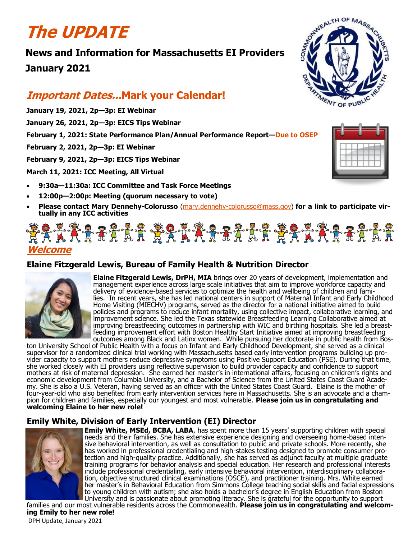# **The UPDATE**

**News and Information for Massachusetts EI Providers January 2021**

## **Important Dates...Mark your Calendar!**

- **January 19, 2021, 2p—3p: EI Webinar**
- **January 26, 2021, 2p—3p: EICS Tips Webinar**
- **February 1, 2021: State Performance Plan/Annual Performance Report—Due to OSEP**
- **February 2, 2021, 2p—3p: EI Webinar**

**February 9, 2021, 2p—3p: EICS Tips Webinar**

**March 11, 2021: ICC Meeting, All Virtual**

- **9:30a—11:30a: ICC Committee and Task Force Meetings**
- **12:00p—2:00p: Meeting (quorum necessary to vote)**
- **Please contact Mary Dennehy-Colorusso** (mary.dennehy-[colorusso@mass.gov\)](mailto:mary.dennehy-colorusso@mass.gov) **for a link to participate virtually in any ICC activities**

## \*\*\*\*\*\*\*\*\*\*\*\*\*\*\*\*\*\*\*\*\*\*\*\*\*\*\*\*\*\* **Welcome**

## **Elaine Fitzgerald Lewis, Bureau of Family Health & Nutrition Director**



**Elaine Fitzgerald Lewis, DrPH, MIA** brings over 20 years of development, implementation and management experience across large scale initiatives that aim to improve workforce capacity and delivery of evidence-based services to optimize the health and wellbeing of children and families. In recent years, she has led national centers in support of Maternal Infant and Early Childhood Home Visiting (MIECHV) programs, served as the director for a national initiative aimed to build policies and programs to reduce infant mortality, using collective impact, collaborative learning, and improvement science. She led the Texas statewide Breastfeeding Learning Collaborative aimed at improving breastfeeding outcomes in partnership with WIC and birthing hospitals. She led a breastfeeding improvement effort with Boston Healthy Start Initiative aimed at improving breastfeeding outcomes among Black and Latinx women. While pursuing her doctorate in public health from Bos-

ton University School of Public Health with a focus on Infant and Early Childhood Development, she served as a clinical supervisor for a randomized clinical trial working with Massachusetts based early intervention programs building up provider capacity to support mothers reduce depressive symptoms using Positive Support Education (PSE). During that time, she worked closely with EI providers using reflective supervision to build provider capacity and confidence to support mothers at risk of maternal depression. She earned her master's in international affairs, focusing on children's rights and economic development from Columbia University, and a Bachelor of Science from the United States Coast Guard Academy. She is also a U.S. Veteran, having served as an officer with the United States Coast Guard. Elaine is the mother of four-year-old who also benefited from early intervention services here in Massachusetts. She is an advocate and a champion for children and families, especially our youngest and most vulnerable. **Please join us in congratulating and welcoming Elaine to her new role!**

## **Emily White, Division of Early Intervention (EI) Director**



**Emily White, MSEd, BCBA, LABA**, has spent more than 15 years' supporting children with special needs and their families. She has extensive experience designing and overseeing home-based intensive behavioral intervention, as well as consultation to public and private schools. More recently, she has worked in professional credentialing and high-stakes testing designed to promote consumer protection and high-quality practice. Additionally, she has served as adjunct faculty at multiple graduate training programs for behavior analysis and special education. Her research and professional interests include professional credentialing, early intensive behavioral intervention, interdisciplinary collaboration, objective structured clinical examinations (OSCE), and practitioner training. Mrs. White earned her master's in Behavioral Education from Simmons College teaching social skills and facial expressions to young children with autism; she also holds a bachelor's degree in English Education from Boston University and is passionate about promoting literacy. She is grateful for the opportunity to support families and our most vulnerable residents across the Commonwealth. Please join us in congratulating and welcom-





DPH Update, January 2021 **ing Emily to her new role!**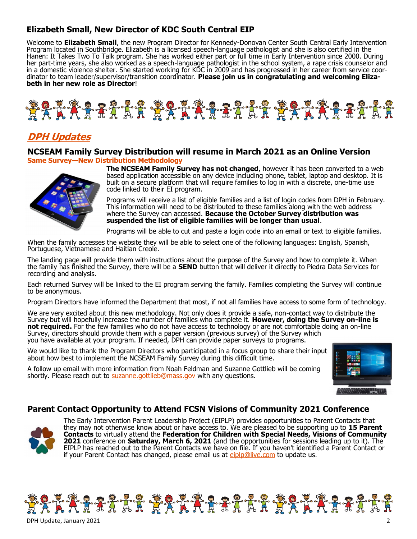## **Elizabeth Small, New Director of KDC South Central EIP**

Welcome to **Elizabeth Small**, the new Program Director for Kennedy-Donovan Center South Central Early Intervention Program located in Southbridge. Elizabeth is a licensed speech-language pathologist and she is also certified in the Hanen: It Takes Two To Talk program. She has worked either part or full time in Early Intervention since 2000. During her part-time years, she also worked as a speech-language pathologist in the school system, a rape crisis counselor and in a domestic violence shelter. She started working for KDC in 2009 and has progressed in her career from service coordinator to team leader/supervisor/transition coordinator. **Please join us in congratulating and welcoming Elizabeth in her new role as Director**!



## **DPH Updates**

#### **NCSEAM Family Survey Distribution will resume in March 2021 as an Online Version Same Survey—New Distribution Methodology**



**The NCSEAM Family Survey has not changed**, however it has been converted to a web based application accessible on any device including phone, tablet, laptop and desktop. It is built on a secure platform that will require families to log in with a discrete, one-time use code linked to their EI program.

Programs will receive a list of eligible families and a list of login codes from DPH in February. This information will need to be distributed to these families along with the web address where the Survey can accessed. **Because the October Survey distribution was suspended the list of eligible families will be longer than usual**.

Programs will be able to cut and paste a login code into an email or text to eligible families.

When the family accesses the website they will be able to select one of the following languages: English, Spanish, Portuguese, Vietnamese and Haitian Creole.

The landing page will provide them with instructions about the purpose of the Survey and how to complete it. When the family has finished the Survey, there will be a **SEND** button that will deliver it directly to Piedra Data Services for recording and analysis.

Each returned Survey will be linked to the EI program serving the family. Families completing the Survey will continue to be anonymous.

Program Directors have informed the Department that most, if not all families have access to some form of technology.

We are very excited about this new methodology. Not only does it provide a safe, non-contact way to distribute the Survey but will hopefully increase the number of families who complete it. **However, doing the Survey on-line is**  not required. For the few families who do not have access to technology or are not comfortable doing an on-line Survey, directors should provide them with a paper version (previous survey) of the Survey which you have available at your program. If needed, DPH can provide paper surveys to programs.

We would like to thank the Program Directors who participated in a focus group to share their input about how best to implement the NCSEAM Family Survey during this difficult time.

A follow up email with more information from Noah Feldman and Suzanne Gottlieb will be coming shortly. Please reach out to [suzanne.gottlieb@mass.gov](mailto:suzanne.gottlieb@mass.gov) with any questions.



#### **Parent Contact Opportunity to Attend FCSN Visions of Community 2021 Conference**



The Early Intervention Parent Leadership Project (EIPLP) provides opportunities to Parent Contacts that they may not otherwise know about or have access to. We are pleased to be supporting up to **15 Parent Contacts** to virtually attend the **Federation for Children with Special Needs, Visions of Community 2021** conference on **Saturday, March 6, 2021** (and the opportunities for sessions leading up to it). The EIPLP has reached out to the Parent Contacts we have on file. If you haven't identified a Parent Contact or if your Parent Contact has changed, please email us at [eiplp@live.com](mailto:eiplp@live.com) to update us.

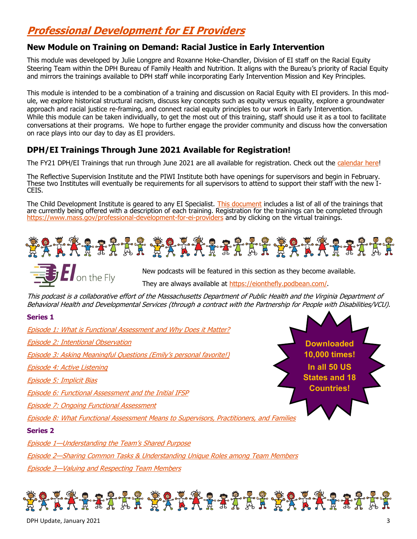## **Professional Development for EI Providers**

## **New Module on Training on Demand: Racial Justice in Early Intervention**

This module was developed by Julie Longpre and Roxanne Hoke-Chandler, Division of EI staff on the Racial Equity Steering Team within the DPH Bureau of Family Health and Nutrition. It aligns with the Bureau's priority of Racial Equity and mirrors the trainings available to DPH staff while incorporating Early Intervention Mission and Key Principles.

This module is intended to be a combination of a training and discussion on Racial Equity with EI providers. In this module, we explore historical structural racism, discuss key concepts such as equity versus equality, explore a groundwater approach and racial justice re-framing, and connect racial equity principles to our work in Early Intervention. While this module can be taken individually, to get the most out of this training, staff should use it as a tool to facilitate conversations at their programs. We hope to further engage the provider community and discuss how the conversation on race plays into our day to day as EI providers.

## **DPH/EI Trainings Through June 2021 Available for Registration!**

The FY21 DPH/EI Trainings that run through June 2021 are all available for registration. Check out the [calendar here!](https://files.constantcontact.com/dafff9ae001/f6e1379d-1b00-478f-a554-fff8bea9c866.docx)

The Reflective Supervision Institute and the PIWI Institute both have openings for supervisors and begin in February. These two Institutes will eventually be requirements for all supervisors to attend to support their staff with the new I-CEIS.

The Child Development Institute is geared to any EI Specialist. [This document](https://files.constantcontact.com/dafff9ae001/32bf2f2d-a6d1-4e50-84e5-eb9549a74334.docx) includes a list of all of the trainings that are currently being offered with a description of each training. Registration for the trainings can be completed through [https://www.mass.gov/professional](https://www.mass.gov/professional-development-for-ei-providers)-development-for-ei-providers and by clicking on the virtual trainings.





New podcasts will be featured in this section as they become available. They are always available at [https://eionthefly.podbean.com/.](https://eionthefly.podbean.com/)

This podcast is a collaborative effort of the Massachusetts Department of Public Health and the Virginia Department of Behavioral Health and Developmental Services (through a contract with the Partnership for People with Disabilities/VCU).

#### **Series 1**

[Episode 1: What is Functional Assessment and Why Does it Matter?](https://eionthefly.podbean.com/e/episode-1-what-is-functional-assessment-and-why-does-it-matter/) [Episode 2: Intentional Observation](https://eionthefly.podbean.com/e/episode-2-intentional-observation/) [Episode 3: Asking Meaningful Questions \(Emily](https://eionthefly.podbean.com/e/episode-3-asking-meaningful-questions/)'s personal favorite!) [Episode 4: Active Listening](https://eionthefly.podbean.com/e/episode-4-active-listening/) [Episode 5: Implicit Bias](https://eionthefly.podbean.com/e/episode-5-implicit-bias/) [Episode 6: Functional Assessment and the Initial IFSP](https://eionthefly.podbean.com/e/episode-6-functional-assessment-and-the-initial-ifsp/) [Episode 7: Ongoing Functional Assessment](https://eionthefly.podbean.com/e/episode-7-ongoing-functional-assessment/) [Episode 8: What Functional Assessment Means to Supervisors, Practitioners, and Families](https://eionthefly.podbean.com/e/episode-8-what-functional-assessment-means-to-supervisors-practitioners-and-families/) **Series 2** Episode 1[—Understanding the Team](https://eionthefly.podbean.com/e/episode-1-%e2%80%93-understanding-the-team-s-shared-purpose/)'s Shared Purpose Episode 2[—Sharing Common Tasks & Understanding Unique Roles among Team Members](https://eionthefly.podbean.com/e/series-2-episode-2-sharing-common-tasks-understanding-unique-roles-among-team-members/) **Downloaded 10,000 times! In all 50 US States and 18 Countries!**

Episode 3[—Valuing and Respecting Team Members](https://eionthefly.podbean.com/e/series-2-episode-3-valuing-and-respecting-team-members/)